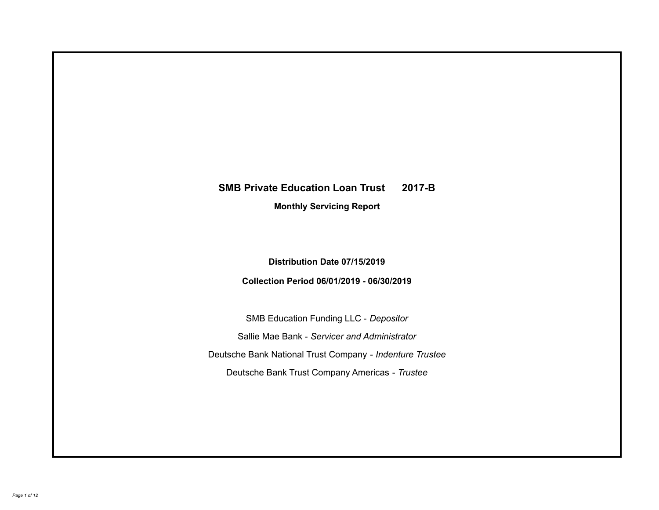# **SMB Private Education Loan Trust 2017-B Monthly Servicing Report**

## **Distribution Date 07/15/2019**

### **Collection Period 06/01/2019 - 06/30/2019**

SMB Education Funding LLC - *Depositor* Sallie Mae Bank - *Servicer and Administrator* Deutsche Bank National Trust Company - *Indenture Trustee* Deutsche Bank Trust Company Americas - *Trustee*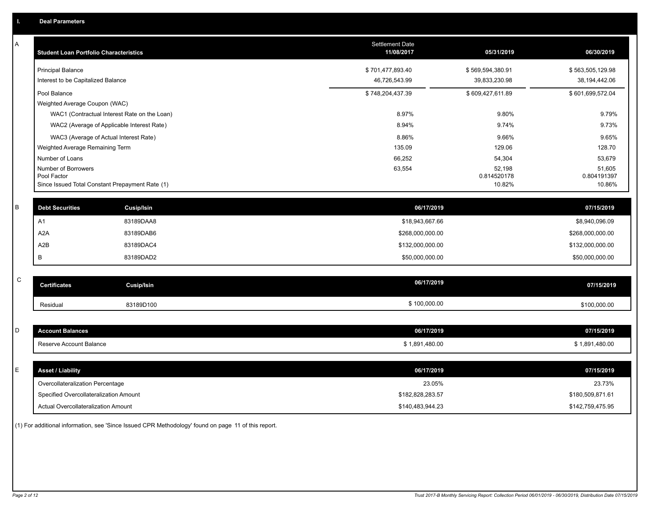| Α | <b>Student Loan Portfolio Characteristics</b>                                         |                   | Settlement Date<br>11/08/2017     | 05/31/2019                        | 06/30/2019                        |
|---|---------------------------------------------------------------------------------------|-------------------|-----------------------------------|-----------------------------------|-----------------------------------|
|   | <b>Principal Balance</b><br>Interest to be Capitalized Balance                        |                   | \$701,477,893.40<br>46,726,543.99 | \$569,594,380.91<br>39,833,230.98 | \$563,505,129.98<br>38,194,442.06 |
|   | Pool Balance<br>Weighted Average Coupon (WAC)                                         |                   | \$748,204,437.39                  | \$609,427,611.89                  | \$601,699,572.04                  |
|   | WAC1 (Contractual Interest Rate on the Loan)                                          |                   | 8.97%                             | 9.80%                             | 9.79%                             |
|   | WAC2 (Average of Applicable Interest Rate)                                            |                   | 8.94%                             | 9.74%                             | 9.73%                             |
|   | WAC3 (Average of Actual Interest Rate)                                                |                   | 8.86%                             | 9.66%                             | 9.65%                             |
|   | Weighted Average Remaining Term                                                       |                   | 135.09                            | 129.06                            | 128.70                            |
|   | Number of Loans                                                                       |                   | 66,252                            | 54,304                            | 53,679                            |
|   | Number of Borrowers<br>Pool Factor<br>Since Issued Total Constant Prepayment Rate (1) |                   | 63,554                            | 52,198<br>0.814520178<br>10.82%   | 51,605<br>0.804191397<br>10.86%   |
|   |                                                                                       |                   |                                   |                                   |                                   |
| B | <b>Debt Securities</b>                                                                | <b>Cusip/Isin</b> | 06/17/2019                        |                                   | 07/15/2019                        |
|   | A1                                                                                    | 83189DAA8         | \$18,943,667.66                   |                                   | \$8,940,096.09                    |
|   | A2A                                                                                   | 83189DAB6         | \$268,000,000.00                  |                                   | \$268,000,000.00                  |
|   | A2B                                                                                   | 83189DAC4         | \$132,000,000.00                  |                                   | \$132,000,000.00                  |
|   | B                                                                                     | 83189DAD2         | \$50,000,000.00                   |                                   | \$50,000,000.00                   |
|   |                                                                                       |                   |                                   |                                   |                                   |
| C | <b>Certificates</b>                                                                   | <b>Cusip/Isin</b> | 06/17/2019                        |                                   | 07/15/2019                        |
|   | Residual                                                                              | 83189D100         | \$100,000.00                      |                                   | \$100,000.00                      |
|   |                                                                                       |                   |                                   |                                   |                                   |
| D | <b>Account Balances</b>                                                               |                   | 06/17/2019                        |                                   | 07/15/2019                        |
|   | Reserve Account Balance                                                               |                   | \$1,891,480.00                    |                                   | \$1,891,480.00                    |
|   |                                                                                       |                   |                                   |                                   |                                   |
| Е | <b>Asset / Liability</b>                                                              |                   | 06/17/2019                        |                                   | 07/15/2019                        |
|   | Overcollateralization Percentage                                                      |                   | 23.05%                            |                                   | 23.73%                            |
|   | Specified Overcollateralization Amount                                                |                   | \$182,828,283.57                  |                                   | \$180,509,871.61                  |
|   | <b>Actual Overcollateralization Amount</b>                                            |                   | \$140,483,944.23                  |                                   | \$142,759,475.95                  |

(1) For additional information, see 'Since Issued CPR Methodology' found on page 11 of this report.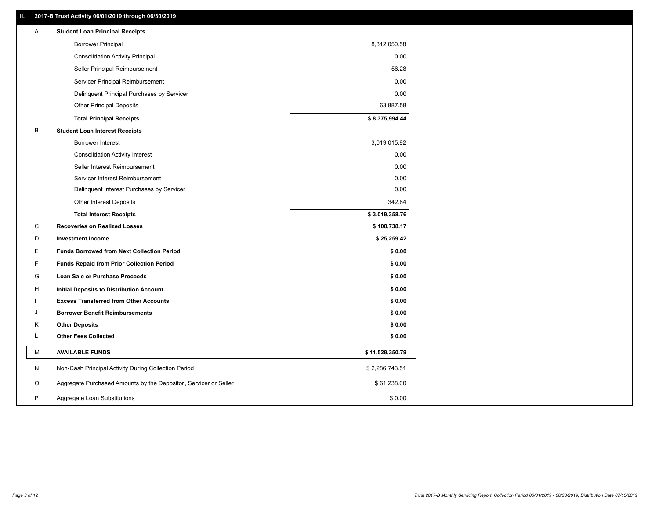### **II. 2017-B Trust Activity 06/01/2019 through 06/30/2019**

| Α | <b>Student Loan Principal Receipts</b>                           |                 |  |
|---|------------------------------------------------------------------|-----------------|--|
|   | <b>Borrower Principal</b>                                        | 8,312,050.58    |  |
|   | <b>Consolidation Activity Principal</b>                          | 0.00            |  |
|   | Seller Principal Reimbursement                                   | 56.28           |  |
|   | Servicer Principal Reimbursement                                 | 0.00            |  |
|   | Delinquent Principal Purchases by Servicer                       | 0.00            |  |
|   | <b>Other Principal Deposits</b>                                  | 63,887.58       |  |
|   | <b>Total Principal Receipts</b>                                  | \$8,375,994.44  |  |
| B | <b>Student Loan Interest Receipts</b>                            |                 |  |
|   | Borrower Interest                                                | 3,019,015.92    |  |
|   | <b>Consolidation Activity Interest</b>                           | 0.00            |  |
|   | Seller Interest Reimbursement                                    | 0.00            |  |
|   | Servicer Interest Reimbursement                                  | 0.00            |  |
|   | Delinquent Interest Purchases by Servicer                        | 0.00            |  |
|   | <b>Other Interest Deposits</b>                                   | 342.84          |  |
|   | <b>Total Interest Receipts</b>                                   | \$3,019,358.76  |  |
| C | <b>Recoveries on Realized Losses</b>                             | \$108,738.17    |  |
| D | <b>Investment Income</b>                                         | \$25,259.42     |  |
| Е | <b>Funds Borrowed from Next Collection Period</b>                | \$0.00          |  |
| F | <b>Funds Repaid from Prior Collection Period</b>                 | \$0.00          |  |
| G | Loan Sale or Purchase Proceeds                                   | \$0.00          |  |
| Н | Initial Deposits to Distribution Account                         | \$0.00          |  |
|   | <b>Excess Transferred from Other Accounts</b>                    | \$0.00          |  |
| J | <b>Borrower Benefit Reimbursements</b>                           | \$0.00          |  |
| Κ | <b>Other Deposits</b>                                            | \$0.00          |  |
| L | <b>Other Fees Collected</b>                                      | \$0.00          |  |
| М | <b>AVAILABLE FUNDS</b>                                           | \$11,529,350.79 |  |
| N | Non-Cash Principal Activity During Collection Period             | \$2,286,743.51  |  |
| O | Aggregate Purchased Amounts by the Depositor, Servicer or Seller | \$61,238.00     |  |
| P | Aggregate Loan Substitutions                                     | \$0.00          |  |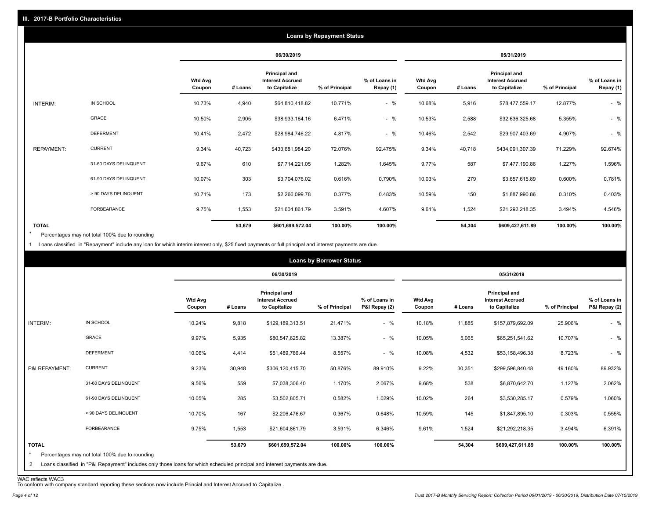|                   |                       |                          |         |                                                           | <b>Loans by Repayment Status</b> |                            |                          |         |                                                           |                |                            |
|-------------------|-----------------------|--------------------------|---------|-----------------------------------------------------------|----------------------------------|----------------------------|--------------------------|---------|-----------------------------------------------------------|----------------|----------------------------|
|                   |                       |                          |         | 06/30/2019                                                |                                  |                            |                          |         | 05/31/2019                                                |                |                            |
|                   |                       | <b>Wtd Avg</b><br>Coupon | # Loans | Principal and<br><b>Interest Accrued</b><br>to Capitalize | % of Principal                   | % of Loans in<br>Repay (1) | <b>Wtd Avg</b><br>Coupon | # Loans | Principal and<br><b>Interest Accrued</b><br>to Capitalize | % of Principal | % of Loans in<br>Repay (1) |
| INTERIM:          | IN SCHOOL             | 10.73%                   | 4,940   | \$64,810,418.82                                           | 10.771%                          | $-$ %                      | 10.68%                   | 5,916   | \$78,477,559.17                                           | 12.877%        | $-$ %                      |
|                   | <b>GRACE</b>          | 10.50%                   | 2,905   | \$38,933,164.16                                           | 6.471%                           | $-$ %                      | 10.53%                   | 2,588   | \$32,636,325.68                                           | 5.355%         | $-$ %                      |
|                   | <b>DEFERMENT</b>      | 10.41%                   | 2,472   | \$28,984,746.22                                           | 4.817%                           | $-$ %                      | 10.46%                   | 2,542   | \$29,907,403.69                                           | 4.907%         | $-$ %                      |
| <b>REPAYMENT:</b> | <b>CURRENT</b>        | 9.34%                    | 40,723  | \$433,681,984.20                                          | 72.076%                          | 92.475%                    | 9.34%                    | 40,718  | \$434,091,307.39                                          | 71.229%        | 92.674%                    |
|                   | 31-60 DAYS DELINQUENT | 9.67%                    | 610     | \$7,714,221.05                                            | 1.282%                           | 1.645%                     | 9.77%                    | 587     | \$7,477,190.86                                            | 1.227%         | 1.596%                     |
|                   | 61-90 DAYS DELINQUENT | 10.07%                   | 303     | \$3,704,076.02                                            | 0.616%                           | 0.790%                     | 10.03%                   | 279     | \$3,657,615.89                                            | 0.600%         | 0.781%                     |
|                   | > 90 DAYS DELINQUENT  | 10.71%                   | 173     | \$2,266,099.78                                            | 0.377%                           | 0.483%                     | 10.59%                   | 150     | \$1,887,990.86                                            | 0.310%         | 0.403%                     |
|                   | FORBEARANCE           | 9.75%                    | 1,553   | \$21,604,861.79                                           | 3.591%                           | 4.607%                     | 9.61%                    | 1,524   | \$21,292,218.35                                           | 3.494%         | 4.546%                     |
| <b>TOTAL</b>      |                       |                          | 53,679  | \$601,699,572.04                                          | 100.00%                          | 100.00%                    |                          | 54,304  | \$609,427,611.89                                          | 100.00%        | 100.00%                    |

Percentages may not total 100% due to rounding \*

1 Loans classified in "Repayment" include any loan for which interim interest only, \$25 fixed payments or full principal and interest payments are due.

|                              |                                                                                                                                                                              |                          |         |                                                                  | <b>Loans by Borrower Status</b> |                                |                          |         |                                                                  |                |                                |
|------------------------------|------------------------------------------------------------------------------------------------------------------------------------------------------------------------------|--------------------------|---------|------------------------------------------------------------------|---------------------------------|--------------------------------|--------------------------|---------|------------------------------------------------------------------|----------------|--------------------------------|
|                              |                                                                                                                                                                              |                          |         | 06/30/2019                                                       |                                 |                                |                          |         | 05/31/2019                                                       |                |                                |
|                              |                                                                                                                                                                              | <b>Wtd Avg</b><br>Coupon | # Loans | <b>Principal and</b><br><b>Interest Accrued</b><br>to Capitalize | % of Principal                  | % of Loans in<br>P&I Repay (2) | <b>Wtd Avg</b><br>Coupon | # Loans | <b>Principal and</b><br><b>Interest Accrued</b><br>to Capitalize | % of Principal | % of Loans in<br>P&I Repay (2) |
| INTERIM:                     | IN SCHOOL                                                                                                                                                                    | 10.24%                   | 9,818   | \$129,189,313.51                                                 | 21.471%                         | $-$ %                          | 10.18%                   | 11,885  | \$157,879,692.09                                                 | 25.906%        | $-$ %                          |
|                              | GRACE                                                                                                                                                                        | 9.97%                    | 5,935   | \$80,547,625.82                                                  | 13.387%                         | $-$ %                          | 10.05%                   | 5,065   | \$65,251,541.62                                                  | 10.707%        | $-$ %                          |
|                              | <b>DEFERMENT</b>                                                                                                                                                             | 10.06%                   | 4,414   | \$51,489,766.44                                                  | 8.557%                          | $-$ %                          | 10.08%                   | 4,532   | \$53,158,496.38                                                  | 8.723%         | $-$ %                          |
| P&I REPAYMENT:               | <b>CURRENT</b>                                                                                                                                                               | 9.23%                    | 30,948  | \$306,120,415.70                                                 | 50.876%                         | 89.910%                        | 9.22%                    | 30,351  | \$299,596,840.48                                                 | 49.160%        | 89.932%                        |
|                              | 31-60 DAYS DELINQUENT                                                                                                                                                        | 9.56%                    | 559     | \$7,038,306.40                                                   | 1.170%                          | 2.067%                         | 9.68%                    | 538     | \$6,870,642.70                                                   | 1.127%         | 2.062%                         |
|                              | 61-90 DAYS DELINQUENT                                                                                                                                                        | 10.05%                   | 285     | \$3,502,805.71                                                   | 0.582%                          | 1.029%                         | 10.02%                   | 264     | \$3,530,285.17                                                   | 0.579%         | 1.060%                         |
|                              | > 90 DAYS DELINQUENT                                                                                                                                                         | 10.70%                   | 167     | \$2,206,476.67                                                   | 0.367%                          | 0.648%                         | 10.59%                   | 145     | \$1,847,895.10                                                   | 0.303%         | 0.555%                         |
|                              | FORBEARANCE                                                                                                                                                                  | 9.75%                    | 1,553   | \$21,604,861.79                                                  | 3.591%                          | 6.346%                         | 9.61%                    | 1,524   | \$21,292,218.35                                                  | 3.494%         | 6.391%                         |
| <b>TOTAL</b><br>$\star$<br>2 | Percentages may not total 100% due to rounding<br>Loans classified in "P&I Repayment" includes only those loans for which scheduled principal and interest payments are due. |                          | 53,679  | \$601,699,572.04                                                 | 100.00%                         | 100.00%                        |                          | 54,304  | \$609,427,611.89                                                 | 100.00%        | 100.00%                        |

WAC reflects WAC3 To conform with company standard reporting these sections now include Princial and Interest Accrued to Capitalize .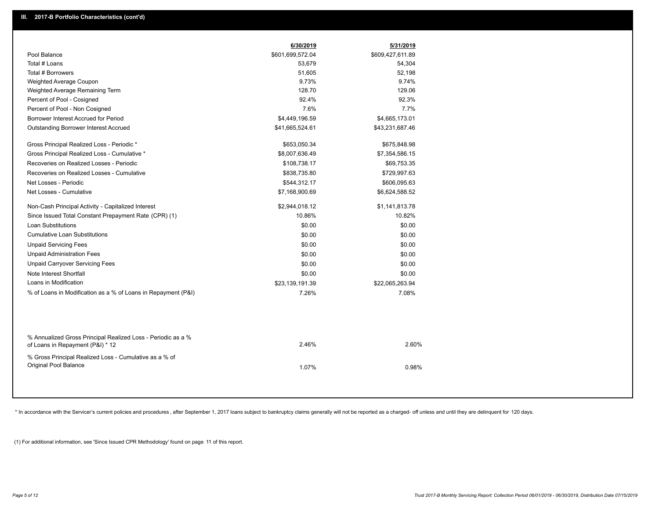|                                                                                                  | 6/30/2019        | 5/31/2019        |  |
|--------------------------------------------------------------------------------------------------|------------------|------------------|--|
| Pool Balance                                                                                     | \$601,699,572.04 | \$609,427,611.89 |  |
| Total # Loans                                                                                    | 53,679           | 54,304           |  |
| Total # Borrowers                                                                                | 51,605           | 52,198           |  |
| Weighted Average Coupon                                                                          | 9.73%            | 9.74%            |  |
| Weighted Average Remaining Term                                                                  | 128.70           | 129.06           |  |
| Percent of Pool - Cosigned                                                                       | 92.4%            | 92.3%            |  |
| Percent of Pool - Non Cosigned                                                                   | 7.6%             | 7.7%             |  |
| Borrower Interest Accrued for Period                                                             | \$4,449,196.59   | \$4,665,173.01   |  |
| Outstanding Borrower Interest Accrued                                                            | \$41,665,524.61  | \$43,231,687.46  |  |
| Gross Principal Realized Loss - Periodic *                                                       | \$653,050.34     | \$675,848.98     |  |
| Gross Principal Realized Loss - Cumulative *                                                     | \$8,007,636.49   | \$7,354,586.15   |  |
| Recoveries on Realized Losses - Periodic                                                         | \$108,738.17     | \$69,753.35      |  |
| Recoveries on Realized Losses - Cumulative                                                       | \$838,735.80     | \$729,997.63     |  |
| Net Losses - Periodic                                                                            | \$544,312.17     | \$606,095.63     |  |
| Net Losses - Cumulative                                                                          | \$7,168,900.69   | \$6,624,588.52   |  |
| Non-Cash Principal Activity - Capitalized Interest                                               | \$2,944,018.12   | \$1,141,813.78   |  |
| Since Issued Total Constant Prepayment Rate (CPR) (1)                                            | 10.86%           | 10.82%           |  |
| Loan Substitutions                                                                               | \$0.00           | \$0.00           |  |
| <b>Cumulative Loan Substitutions</b>                                                             | \$0.00           | \$0.00           |  |
| <b>Unpaid Servicing Fees</b>                                                                     | \$0.00           | \$0.00           |  |
| <b>Unpaid Administration Fees</b>                                                                | \$0.00           | \$0.00           |  |
| <b>Unpaid Carryover Servicing Fees</b>                                                           | \$0.00           | \$0.00           |  |
| Note Interest Shortfall                                                                          | \$0.00           | \$0.00           |  |
| Loans in Modification                                                                            | \$23,139,191.39  | \$22,065,263.94  |  |
| % of Loans in Modification as a % of Loans in Repayment (P&I)                                    | 7.26%            | 7.08%            |  |
|                                                                                                  |                  |                  |  |
| % Annualized Gross Principal Realized Loss - Periodic as a %<br>of Loans in Repayment (P&I) * 12 | 2.46%            | 2.60%            |  |
| % Gross Principal Realized Loss - Cumulative as a % of<br>Original Pool Balance                  | 1.07%            | 0.98%            |  |
|                                                                                                  |                  |                  |  |

\* In accordance with the Servicer's current policies and procedures, after September 1, 2017 loans subject to bankruptcy claims generally will not be reported as a charged- off unless and until they are delinquent for 120

(1) For additional information, see 'Since Issued CPR Methodology' found on page 11 of this report.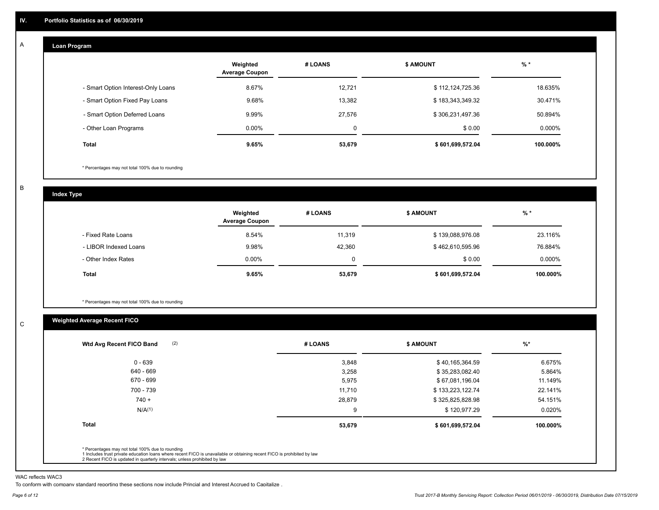#### **Loan Program**  A

|                                    | Weighted<br><b>Average Coupon</b> | # LOANS  | <b>\$ AMOUNT</b> | $%$ *     |
|------------------------------------|-----------------------------------|----------|------------------|-----------|
| - Smart Option Interest-Only Loans | 8.67%                             | 12,721   | \$112,124,725.36 | 18.635%   |
| - Smart Option Fixed Pay Loans     | 9.68%                             | 13,382   | \$183,343,349.32 | 30.471%   |
| - Smart Option Deferred Loans      | 9.99%                             | 27.576   | \$306,231,497.36 | 50.894%   |
| - Other Loan Programs              | $0.00\%$                          | $\Omega$ | \$0.00           | $0.000\%$ |
| <b>Total</b>                       | 9.65%                             | 53,679   | \$601,699,572.04 | 100.000%  |

\* Percentages may not total 100% due to rounding

B

C

**Index Type**

|                       | Weighted<br><b>Average Coupon</b> | # LOANS | <b>S AMOUNT</b>  | % *       |
|-----------------------|-----------------------------------|---------|------------------|-----------|
| - Fixed Rate Loans    | 8.54%                             | 11,319  | \$139,088,976.08 | 23.116%   |
| - LIBOR Indexed Loans | 9.98%                             | 42,360  | \$462,610,595.96 | 76.884%   |
| - Other Index Rates   | $0.00\%$                          | 0       | \$0.00           | $0.000\%$ |
| <b>Total</b>          | 9.65%                             | 53,679  | \$601,699,572.04 | 100.000%  |

\* Percentages may not total 100% due to rounding

### **Weighted Average Recent FICO**

| (2)<br>Wtd Avg Recent FICO Band | # LOANS | <b>\$ AMOUNT</b> | $%$ *    |
|---------------------------------|---------|------------------|----------|
| $0 - 639$                       | 3,848   | \$40,165,364.59  | 6.675%   |
| 640 - 669                       | 3,258   | \$35,283,082.40  | 5.864%   |
| 670 - 699                       | 5,975   | \$67,081,196.04  | 11.149%  |
| 700 - 739                       | 11,710  | \$133,223,122.74 | 22.141%  |
| $740 +$                         | 28,879  | \$325,825,828.98 | 54.151%  |
| N/A <sup>(1)</sup>              | 9       | \$120,977.29     | 0.020%   |
| <b>Total</b>                    | 53,679  | \$601,699,572.04 | 100.000% |
|                                 |         |                  |          |

WAC reflects WAC3

To conform with company standard reporting these sections now include Princial and Interest Accrued to Capitalize .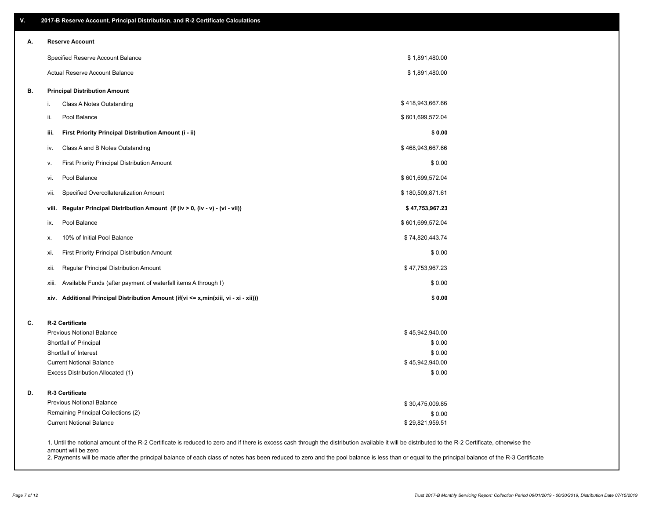| ۷. | 2017-B Reserve Account, Principal Distribution, and R-2 Certificate Calculations                                                                                                                                          |                  |  |
|----|---------------------------------------------------------------------------------------------------------------------------------------------------------------------------------------------------------------------------|------------------|--|
| Α. | <b>Reserve Account</b>                                                                                                                                                                                                    |                  |  |
|    | Specified Reserve Account Balance                                                                                                                                                                                         | \$1,891,480.00   |  |
|    | Actual Reserve Account Balance                                                                                                                                                                                            | \$1,891,480.00   |  |
| В. | <b>Principal Distribution Amount</b>                                                                                                                                                                                      |                  |  |
|    | Class A Notes Outstanding<br>i.                                                                                                                                                                                           | \$418,943,667.66 |  |
|    | Pool Balance<br>ii.                                                                                                                                                                                                       | \$601,699,572.04 |  |
|    | First Priority Principal Distribution Amount (i - ii)<br>iii.                                                                                                                                                             | \$0.00           |  |
|    | Class A and B Notes Outstanding<br>iv.                                                                                                                                                                                    | \$468,943,667.66 |  |
|    | First Priority Principal Distribution Amount<br>۷.                                                                                                                                                                        | \$0.00           |  |
|    | Pool Balance<br>vi.                                                                                                                                                                                                       | \$601,699,572.04 |  |
|    | Specified Overcollateralization Amount<br>vii.                                                                                                                                                                            | \$180,509,871.61 |  |
|    | Regular Principal Distribution Amount (if (iv > 0, (iv - v) - (vi - vii))<br>viii.                                                                                                                                        | \$47,753,967.23  |  |
|    | Pool Balance<br>ix.                                                                                                                                                                                                       | \$601,699,572.04 |  |
|    | 10% of Initial Pool Balance<br>х.                                                                                                                                                                                         | \$74,820,443.74  |  |
|    | First Priority Principal Distribution Amount<br>xi.                                                                                                                                                                       | \$0.00           |  |
|    | Regular Principal Distribution Amount<br>xii.                                                                                                                                                                             | \$47,753,967.23  |  |
|    | Available Funds (after payment of waterfall items A through I)<br>xiii.                                                                                                                                                   | \$0.00           |  |
|    | Additional Principal Distribution Amount (if(vi <= x,min(xiii, vi - xi - xii)))<br>xiv.                                                                                                                                   | \$0.00           |  |
| C. | R-2 Certificate                                                                                                                                                                                                           |                  |  |
|    | <b>Previous Notional Balance</b>                                                                                                                                                                                          | \$45,942,940.00  |  |
|    | Shortfall of Principal                                                                                                                                                                                                    | \$0.00           |  |
|    | Shortfall of Interest                                                                                                                                                                                                     | \$0.00           |  |
|    | <b>Current Notional Balance</b>                                                                                                                                                                                           | \$45,942,940.00  |  |
|    | Excess Distribution Allocated (1)                                                                                                                                                                                         | \$0.00           |  |
| D. | R-3 Certificate                                                                                                                                                                                                           |                  |  |
|    | <b>Previous Notional Balance</b>                                                                                                                                                                                          | \$30,475,009.85  |  |
|    | Remaining Principal Collections (2)                                                                                                                                                                                       | \$0.00           |  |
|    | <b>Current Notional Balance</b>                                                                                                                                                                                           | \$29,821,959.51  |  |
|    | 1. Until the notional amount of the R-2 Certificate is reduced to zero and if there is excess cash through the distribution available it will be distributed to the R-2 Certificate, otherwise the<br>amount will be zero |                  |  |

2. Payments will be made after the principal balance of each class of notes has been reduced to zero and the pool balance is less than or equal to the principal balance of the R-3 Certificate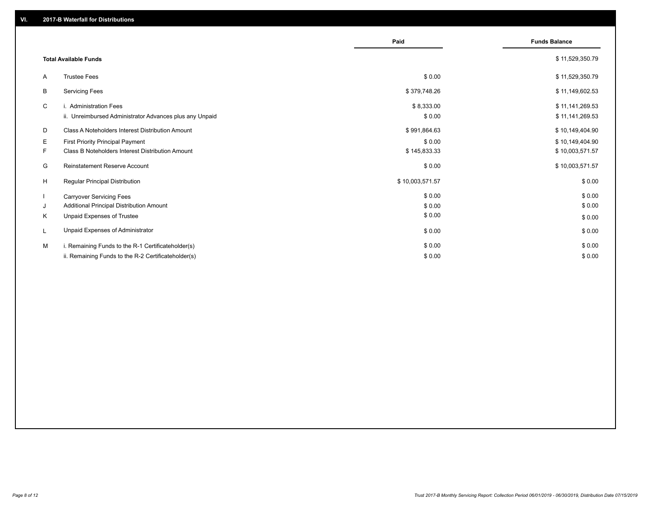|    |                                                         | Paid            | <b>Funds Balance</b> |
|----|---------------------------------------------------------|-----------------|----------------------|
|    | <b>Total Available Funds</b>                            |                 | \$11,529,350.79      |
| A  | <b>Trustee Fees</b>                                     | \$0.00          | \$11,529,350.79      |
| B  | <b>Servicing Fees</b>                                   | \$379,748.26    | \$11,149,602.53      |
| C  | i. Administration Fees                                  | \$8,333.00      | \$11,141,269.53      |
|    | ii. Unreimbursed Administrator Advances plus any Unpaid | \$0.00          | \$11,141,269.53      |
| D  | Class A Noteholders Interest Distribution Amount        | \$991,864.63    | \$10,149,404.90      |
| E  | <b>First Priority Principal Payment</b>                 | \$0.00          | \$10,149,404.90      |
| F. | Class B Noteholders Interest Distribution Amount        | \$145,833.33    | \$10,003,571.57      |
| G  | Reinstatement Reserve Account                           | \$0.00          | \$10,003,571.57      |
| H  | Regular Principal Distribution                          | \$10,003,571.57 | \$0.00               |
|    | <b>Carryover Servicing Fees</b>                         | \$0.00          | \$0.00               |
| J  | Additional Principal Distribution Amount                | \$0.00          | \$0.00               |
| K  | Unpaid Expenses of Trustee                              | \$0.00          | \$0.00               |
|    | Unpaid Expenses of Administrator                        | \$0.00          | \$0.00               |
| M  | i. Remaining Funds to the R-1 Certificateholder(s)      | \$0.00          | \$0.00               |
|    | ii. Remaining Funds to the R-2 Certificateholder(s)     | \$0.00          | \$0.00               |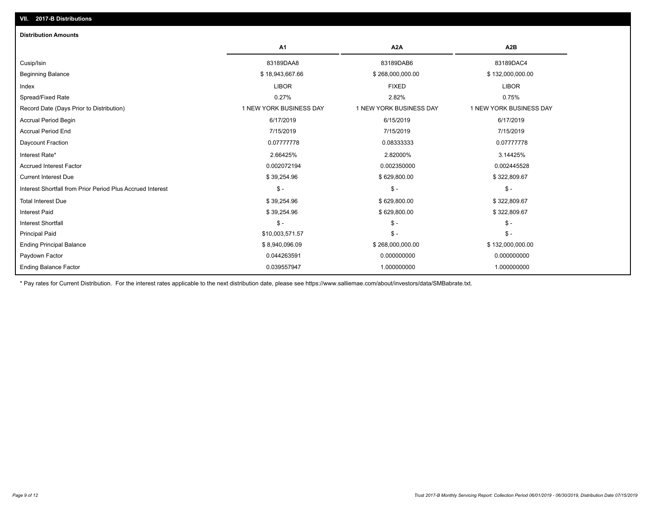| <b>Distribution Amounts</b>                                |                         |                         |                         |
|------------------------------------------------------------|-------------------------|-------------------------|-------------------------|
|                                                            | A <sub>1</sub>          | A <sub>2</sub> A        | A <sub>2</sub> B        |
| Cusip/Isin                                                 | 83189DAA8               | 83189DAB6               | 83189DAC4               |
| <b>Beginning Balance</b>                                   | \$18,943,667.66         | \$268,000,000.00        | \$132,000,000.00        |
| Index                                                      | <b>LIBOR</b>            | <b>FIXED</b>            | <b>LIBOR</b>            |
| Spread/Fixed Rate                                          | 0.27%                   | 2.82%                   | 0.75%                   |
| Record Date (Days Prior to Distribution)                   | 1 NEW YORK BUSINESS DAY | 1 NEW YORK BUSINESS DAY | 1 NEW YORK BUSINESS DAY |
| <b>Accrual Period Begin</b>                                | 6/17/2019               | 6/15/2019               | 6/17/2019               |
| <b>Accrual Period End</b>                                  | 7/15/2019               | 7/15/2019               | 7/15/2019               |
| Daycount Fraction                                          | 0.07777778              | 0.08333333              | 0.07777778              |
| Interest Rate*                                             | 2.66425%                | 2.82000%                | 3.14425%                |
| <b>Accrued Interest Factor</b>                             | 0.002072194             | 0.002350000             | 0.002445528             |
| <b>Current Interest Due</b>                                | \$39,254.96             | \$629,800.00            | \$322,809.67            |
| Interest Shortfall from Prior Period Plus Accrued Interest | $\mathsf{\$}$ -         | $\frac{2}{3}$ -         | $$ -$                   |
| <b>Total Interest Due</b>                                  | \$39,254.96             | \$629,800.00            | \$322,809.67            |
| <b>Interest Paid</b>                                       | \$39,254.96             | \$629,800.00            | \$322,809.67            |
| Interest Shortfall                                         | $\mathsf{\$}$ -         | $$ -$                   | $$ -$                   |
| <b>Principal Paid</b>                                      | \$10,003,571.57         | $\mathsf{\$}$ -         | $$ -$                   |
| <b>Ending Principal Balance</b>                            | \$8,940,096.09          | \$268,000,000.00        | \$132,000,000.00        |
| Paydown Factor                                             | 0.044263591             | 0.000000000             | 0.000000000             |
| <b>Ending Balance Factor</b>                               | 0.039557947             | 1.000000000             | 1.000000000             |

\* Pay rates for Current Distribution. For the interest rates applicable to the next distribution date, please see https://www.salliemae.com/about/investors/data/SMBabrate.txt.

**VII. 2017-B Distributions**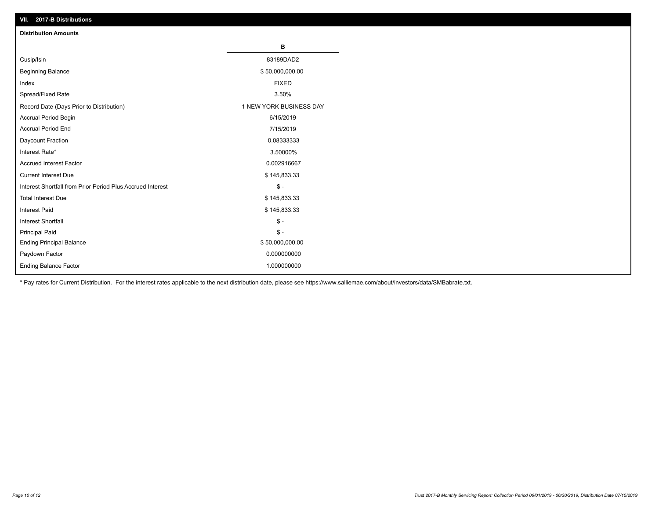| VII. 2017-B Distributions                                  |                         |
|------------------------------------------------------------|-------------------------|
| <b>Distribution Amounts</b>                                |                         |
|                                                            | В                       |
| Cusip/Isin                                                 | 83189DAD2               |
| <b>Beginning Balance</b>                                   | \$50,000,000.00         |
| Index                                                      | <b>FIXED</b>            |
| Spread/Fixed Rate                                          | 3.50%                   |
| Record Date (Days Prior to Distribution)                   | 1 NEW YORK BUSINESS DAY |
| Accrual Period Begin                                       | 6/15/2019               |
| <b>Accrual Period End</b>                                  | 7/15/2019               |
| Daycount Fraction                                          | 0.08333333              |
| Interest Rate*                                             | 3.50000%                |
| <b>Accrued Interest Factor</b>                             | 0.002916667             |
| <b>Current Interest Due</b>                                | \$145,833.33            |
| Interest Shortfall from Prior Period Plus Accrued Interest | $$ -$                   |
| <b>Total Interest Due</b>                                  | \$145,833.33            |
| Interest Paid                                              | \$145,833.33            |
| <b>Interest Shortfall</b>                                  | $$ -$                   |
| <b>Principal Paid</b>                                      | $\frac{1}{2}$           |
| <b>Ending Principal Balance</b>                            | \$50,000,000.00         |
| Paydown Factor                                             | 0.000000000             |
| <b>Ending Balance Factor</b>                               | 1.000000000             |

\* Pay rates for Current Distribution. For the interest rates applicable to the next distribution date, please see https://www.salliemae.com/about/investors/data/SMBabrate.txt.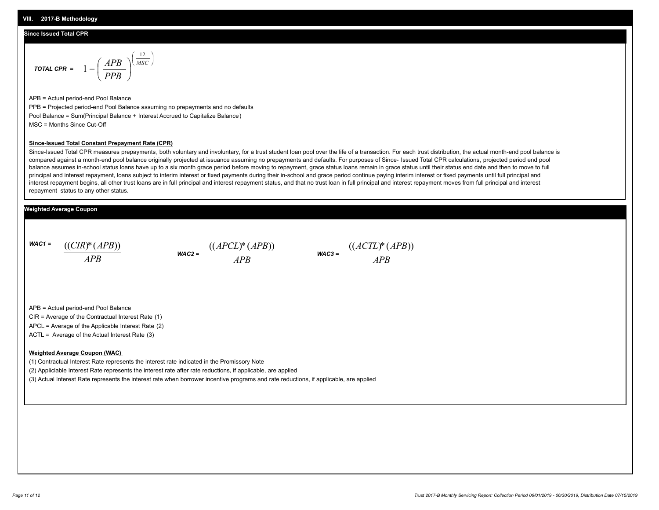#### **Since Issued Total CPR**

$$
\text{total CPR} = 1 - \left(\frac{APB}{PPB}\right)^{\left(\frac{12}{MSC}\right)}
$$

APB = Actual period-end Pool Balance PPB = Projected period-end Pool Balance assuming no prepayments and no defaults Pool Balance = Sum(Principal Balance + Interest Accrued to Capitalize Balance) MSC = Months Since Cut-Off

#### **Since-Issued Total Constant Prepayment Rate (CPR)**

Since-Issued Total CPR measures prepayments, both voluntary and involuntary, for a trust student loan pool over the life of a transaction. For each trust distribution, the actual month-end pool balance is compared against a month-end pool balance originally projected at issuance assuming no prepayments and defaults. For purposes of Since- Issued Total CPR calculations, projected period end pool balance assumes in-school status loans have up to a six month grace period before moving to repayment, grace status loans remain in grace status until their status end date and then to move to full principal and interest repayment, loans subject to interim interest or fixed payments during their in-school and grace period continue paying interim interest or fixed payments until full principal and interest repayment begins, all other trust loans are in full principal and interest repayment status, and that no trust loan in full principal and interest repayment moves from full principal and interest repayment status to any other status.

#### **Weighted Average Coupon**

*WAC1 = APB* ((*CIR*)\*(*APB*))





APB = Actual period-end Pool Balance

CIR = Average of the Contractual Interest Rate (1)

APCL = Average of the Applicable Interest Rate (2)

ACTL = Average of the Actual Interest Rate (3)

#### **Weighted Average Coupon (WAC)**

(1) Contractual Interest Rate represents the interest rate indicated in the Promissory Note

(2) Appliclable Interest Rate represents the interest rate after rate reductions, if applicable, are applied

(3) Actual Interest Rate represents the interest rate when borrower incentive programs and rate reductions, if applicable, are applied